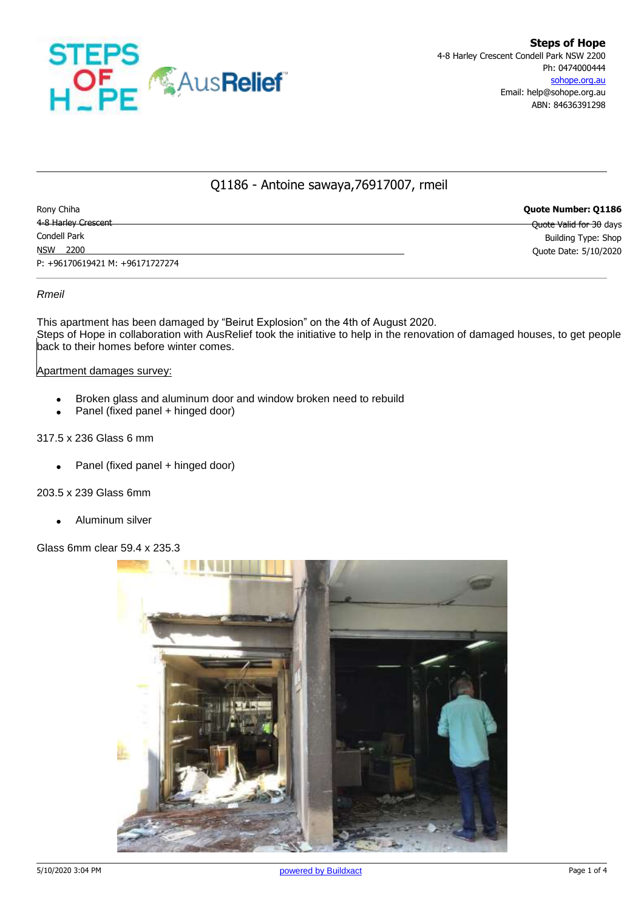

## Q1186 - Antoine sawaya,76917007, rmeil

| Rony Chiha                      | <b>Quote Number: Q1186</b> |
|---------------------------------|----------------------------|
| 4-8 Harley Crescent             | Quote Valid for 30 days    |
| Condell Park                    | Building Type: Shop        |
| <b>NSW</b><br>2200              | Quote Date: 5/10/2020      |
| P: +96170619421 M: +96171727274 |                            |
|                                 |                            |

#### $\mathbf{C}$  and  $\mathbf{C}$  are the solution of the solution of the solution of the solution of the solution of the solution of the solution of the solution of the solution of the solution of the solution of the solution of the NSW 2200 **Estimate**  *Rmeil*

This apartment has been damaged by "Beirut Explosion" on the 4th of August 2020.<br>Stops of Hope in collaboration with AugPoliot took the initiative to belp in the repoya Steps of Flope in collaboration with Address. Steps of Hope in collaboration with AusRelief took the initiative to help in the renovation of damaged houses, to get people

# Apartment damages survey:

Q1186 - Antoine

- **1 Broken glass and aluminum door and window broken need to rebuild** 
	- Panel (fixed panel + hinged door)

#### 317.5 x 236 Glass 6 mm

**•** Panel (fixed panel + hinged door)

#### 203.5 x 239 Glass 6mm

• Aluminum silver

Glass 6mm clear 59.4 x 235.3

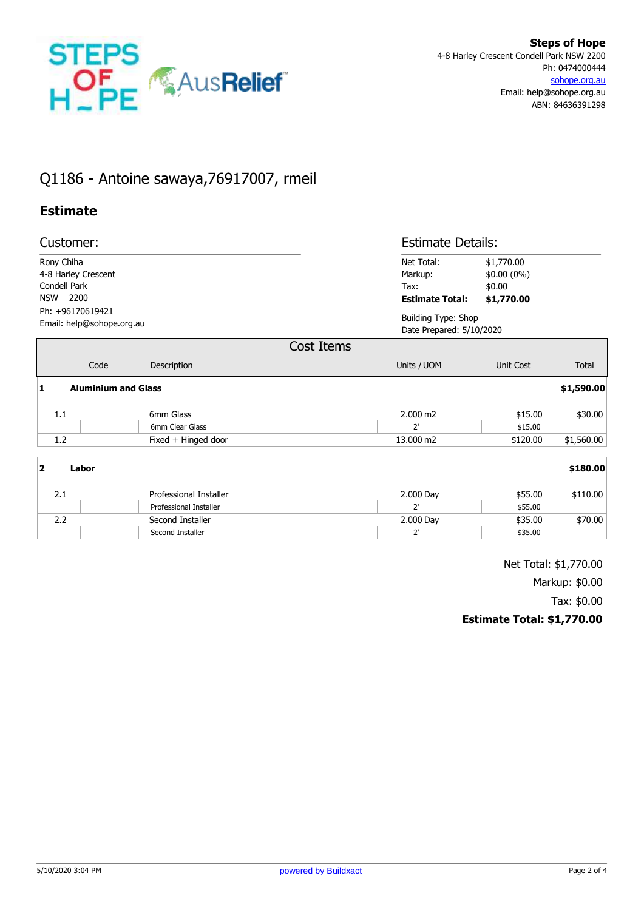

# Q1186 - Antoine sawaya,76917007, rmeil

### **Estimate**

| Customer:                                                                                                             |                            |                                                  |            | <b>Estimate Details:</b>                                |                                                    |            |
|-----------------------------------------------------------------------------------------------------------------------|----------------------------|--------------------------------------------------|------------|---------------------------------------------------------|----------------------------------------------------|------------|
| Rony Chiha<br>4-8 Harley Crescent<br>Condell Park<br><b>NSW 2200</b><br>Ph: +96170619421<br>Email: help@sohope.org.au |                            |                                                  |            | Net Total:<br>Markup:<br>Tax:<br><b>Estimate Total:</b> | \$1,770.00<br>$$0.00(0\%)$<br>\$0.00<br>\$1,770.00 |            |
|                                                                                                                       |                            |                                                  |            | <b>Building Type: Shop</b><br>Date Prepared: 5/10/2020  |                                                    |            |
|                                                                                                                       |                            |                                                  | Cost Items |                                                         |                                                    |            |
|                                                                                                                       | Code                       | Description                                      |            | Units / UOM                                             | Unit Cost                                          | Total      |
| 1                                                                                                                     | <b>Aluminium and Glass</b> |                                                  |            |                                                         |                                                    | \$1,590.00 |
| 1.1                                                                                                                   |                            | 6mm Glass<br>6mm Clear Glass                     |            | 2.000 m2<br>$2^{\prime}$                                | \$15.00<br>\$15.00                                 | \$30.00    |
| 1.2                                                                                                                   |                            | Fixed + Hinged door                              |            | 13.000 m2                                               | \$120.00                                           | \$1,560.00 |
| $\overline{\mathbf{2}}$                                                                                               | Labor                      |                                                  |            |                                                         |                                                    | \$180.00   |
| 2.1                                                                                                                   |                            | Professional Installer<br>Professional Installer |            | 2.000 Day<br>$2^{\prime}$                               | \$55.00<br>\$55.00                                 | \$110.00   |
| 2.2                                                                                                                   |                            | Second Installer                                 |            | 2.000 Day                                               | \$35.00                                            | \$70.00    |

Second Installer \$35.00

Net Total: \$1,770.00 Markup: \$0.00 Tax: \$0.00

### **Estimate Total: \$1,770.00**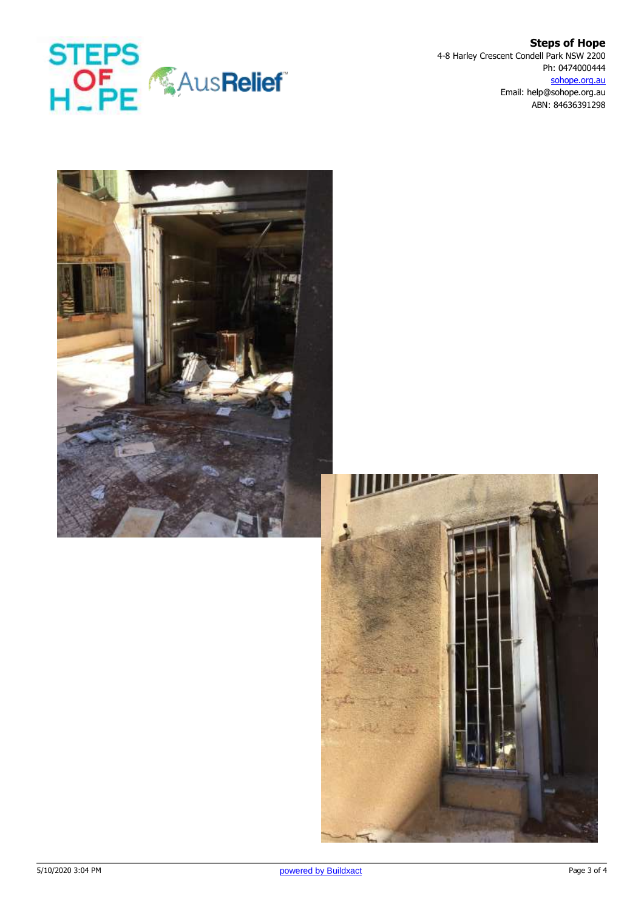

**Steps of Hope** 4-8 Harley Crescent Condell Park NSW 2200 Ph: 0474000444 sohope.org.au Email: help@sohope.org.au ABN: 84636391298